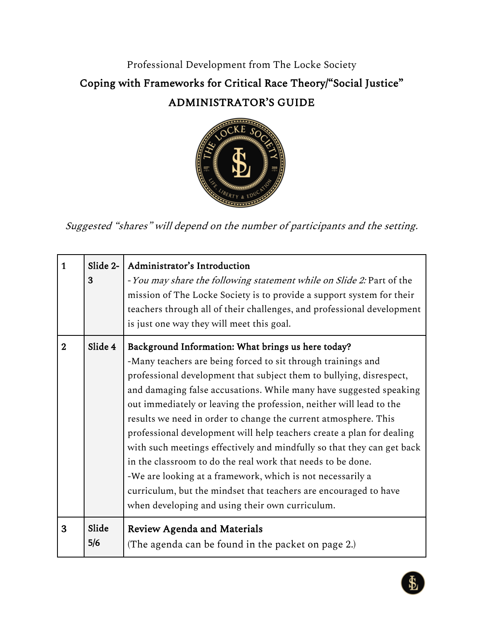## Professional Development from The Locke Society Coping with Frameworks for Critical Race Theory/"Social Justice" ADMINISTRATOR'S GUIDE



Suggested "shares" will depend on the number of participants and the setting.

| $\overline{1}$ | Slide 2-<br>3 | Administrator's Introduction<br>- You may share the following statement while on Slide 2: Part of the<br>mission of The Locke Society is to provide a support system for their<br>teachers through all of their challenges, and professional development<br>is just one way they will meet this goal.                                                                                                                                                                                                                                                                                                                                                                                                                                                                                                            |
|----------------|---------------|------------------------------------------------------------------------------------------------------------------------------------------------------------------------------------------------------------------------------------------------------------------------------------------------------------------------------------------------------------------------------------------------------------------------------------------------------------------------------------------------------------------------------------------------------------------------------------------------------------------------------------------------------------------------------------------------------------------------------------------------------------------------------------------------------------------|
| $\overline{2}$ | Slide 4       | Background Information: What brings us here today?<br>-Many teachers are being forced to sit through trainings and<br>professional development that subject them to bullying, disrespect,<br>and damaging false accusations. While many have suggested speaking<br>out immediately or leaving the profession, neither will lead to the<br>results we need in order to change the current atmosphere. This<br>professional development will help teachers create a plan for dealing<br>with such meetings effectively and mindfully so that they can get back<br>in the classroom to do the real work that needs to be done.<br>-We are looking at a framework, which is not necessarily a<br>curriculum, but the mindset that teachers are encouraged to have<br>when developing and using their own curriculum. |
| 3              | Slide<br>5/6  | <b>Review Agenda and Materials</b><br>(The agenda can be found in the packet on page 2.)                                                                                                                                                                                                                                                                                                                                                                                                                                                                                                                                                                                                                                                                                                                         |

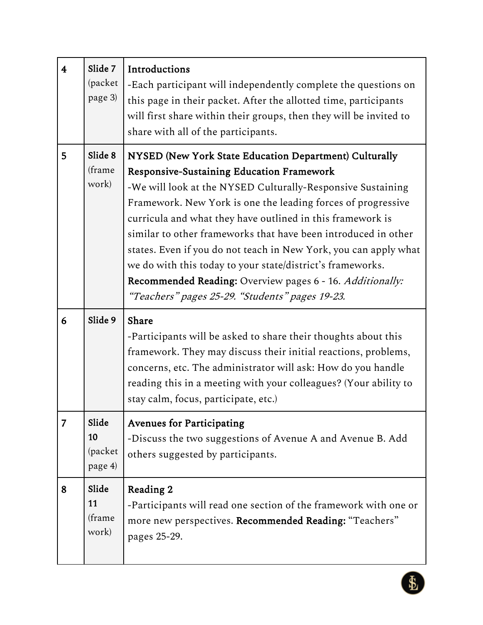| $\overline{\mathbf{4}}$ | Slide 7<br>(packet<br>page 3)     | Introductions<br>-Each participant will independently complete the questions on<br>this page in their packet. After the allotted time, participants<br>will first share within their groups, then they will be invited to<br>share with all of the participants.                                                                                                                                                                                                                                                                                                                                                            |
|-------------------------|-----------------------------------|-----------------------------------------------------------------------------------------------------------------------------------------------------------------------------------------------------------------------------------------------------------------------------------------------------------------------------------------------------------------------------------------------------------------------------------------------------------------------------------------------------------------------------------------------------------------------------------------------------------------------------|
| 5                       | Slide 8<br>(frame<br>work)        | NYSED (New York State Education Department) Culturally<br><b>Responsive-Sustaining Education Framework</b><br>-We will look at the NYSED Culturally-Responsive Sustaining<br>Framework. New York is one the leading forces of progressive<br>curricula and what they have outlined in this framework is<br>similar to other frameworks that have been introduced in other<br>states. Even if you do not teach in New York, you can apply what<br>we do with this today to your state/district's frameworks.<br>Recommended Reading: Overview pages 6 - 16. Additionally:<br>"Teachers" pages 25-29. "Students" pages 19-23. |
| 6                       | Slide 9                           | Share<br>-Participants will be asked to share their thoughts about this<br>framework. They may discuss their initial reactions, problems,<br>concerns, etc. The administrator will ask: How do you handle<br>reading this in a meeting with your colleagues? (Your ability to<br>stay calm, focus, participate, etc.)                                                                                                                                                                                                                                                                                                       |
| 7                       | Slide<br>10<br>(packet<br>page 4) | <b>Avenues for Participating</b><br>-Discuss the two suggestions of Avenue A and Avenue B. Add<br>others suggested by participants.                                                                                                                                                                                                                                                                                                                                                                                                                                                                                         |
| 8                       | Slide<br>11<br>(frame<br>work)    | Reading 2<br>-Participants will read one section of the framework with one or<br>more new perspectives. Recommended Reading: "Teachers"<br>pages 25-29.                                                                                                                                                                                                                                                                                                                                                                                                                                                                     |

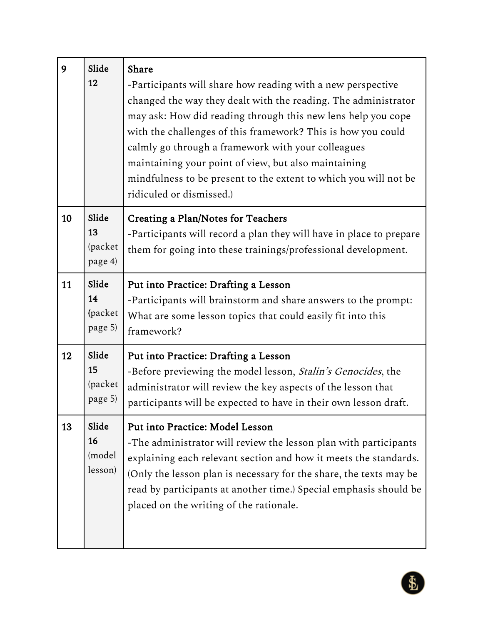| 9  | Slide<br>12                       | Share<br>-Participants will share how reading with a new perspective<br>changed the way they dealt with the reading. The administrator<br>may ask: How did reading through this new lens help you cope<br>with the challenges of this framework? This is how you could<br>calmly go through a framework with your colleagues<br>maintaining your point of view, but also maintaining<br>mindfulness to be present to the extent to which you will not be<br>ridiculed or dismissed.) |
|----|-----------------------------------|--------------------------------------------------------------------------------------------------------------------------------------------------------------------------------------------------------------------------------------------------------------------------------------------------------------------------------------------------------------------------------------------------------------------------------------------------------------------------------------|
| 10 | Slide<br>13<br>(packet<br>page 4) | <b>Creating a Plan/Notes for Teachers</b><br>-Participants will record a plan they will have in place to prepare<br>them for going into these trainings/professional development.                                                                                                                                                                                                                                                                                                    |
| 11 | Slide<br>14<br>(packet<br>page 5) | Put into Practice: Drafting a Lesson<br>-Participants will brainstorm and share answers to the prompt:<br>What are some lesson topics that could easily fit into this<br>framework?                                                                                                                                                                                                                                                                                                  |
| 12 | Slide<br>15<br>(packet<br>page 5) | Put into Practice: Drafting a Lesson<br>-Before previewing the model lesson, <i>Stalin's Genocides</i> , the<br>administrator will review the key aspects of the lesson that<br>participants will be expected to have in their own lesson draft.                                                                                                                                                                                                                                     |
| 13 | Slide<br>16<br>(model<br>lesson)  | Put into Practice: Model Lesson<br>-The administrator will review the lesson plan with participants<br>explaining each relevant section and how it meets the standards.<br>(Only the lesson plan is necessary for the share, the texts may be<br>read by participants at another time.) Special emphasis should be<br>placed on the writing of the rationale.                                                                                                                        |